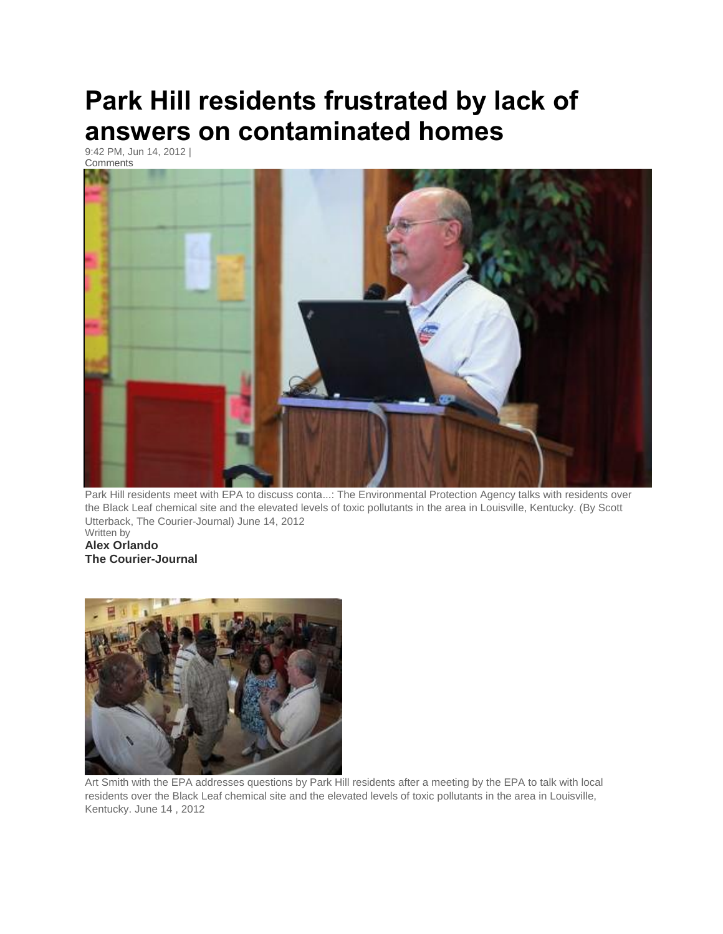## **Park Hill residents frustrated by lack of answers on contaminated homes**

9:42 PM, Jun 14, 2012 | [Comments](http://www.courier-journal.com/comments/article/20120614/NEWS01/306140088/Park-Hill-residents-frustrated-by-lack-answers-contaminated-homes)



Park Hill residents meet with EPA to discuss conta...: The Environmental Protection Agency talks with residents over the Black Leaf chemical site and the elevated levels of toxic pollutants in the area in Louisville, Kentucky. (By Scott Utterback, The Courier-Journal) June 14, 2012 Written by

**Alex Orlando The Courier-Journal**



Art Smith with the EPA addresses questions by Park Hill residents after a meeting by the EPA to talk with local residents over the Black Leaf chemical site and the elevated levels of toxic pollutants in the area in Louisville, Kentucky. June 14 , 2012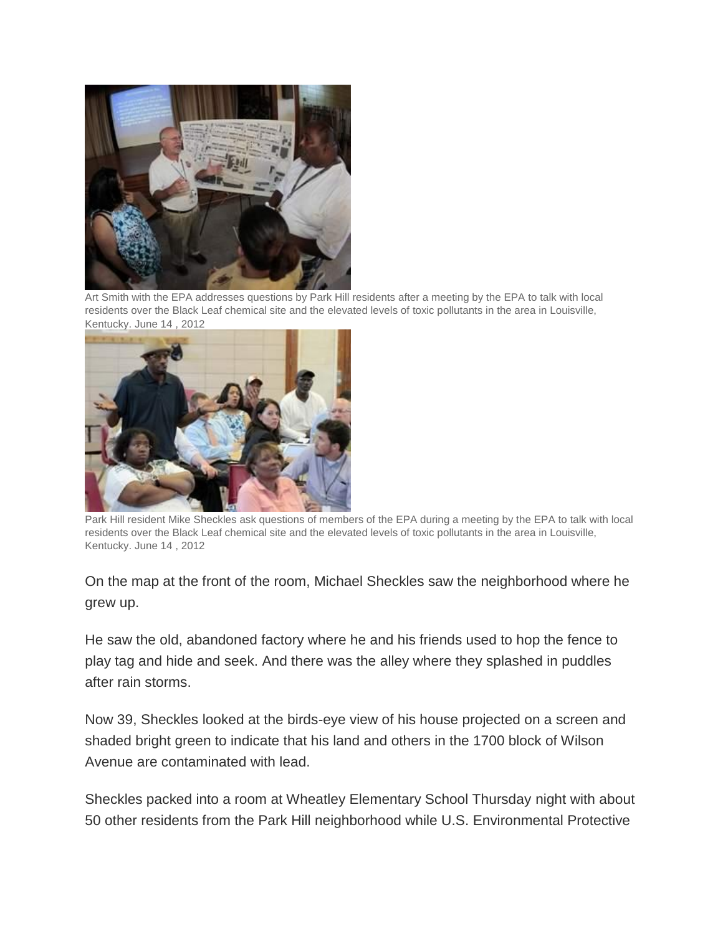

Art Smith with the EPA addresses questions by Park Hill residents after a meeting by the EPA to talk with local residents over the Black Leaf chemical site and the elevated levels of toxic pollutants in the area in Louisville, Kentucky. June 14 , 2012



Park Hill resident Mike Sheckles ask questions of members of the EPA during a meeting by the EPA to talk with local residents over the Black Leaf chemical site and the elevated levels of toxic pollutants in the area in Louisville, Kentucky. June 14 , 2012

On the map at the front of the room, Michael Sheckles saw the neighborhood where he grew up.

He saw the old, abandoned factory where he and his friends used to hop the fence to play tag and hide and seek. And there was the alley where they splashed in puddles after rain storms.

Now 39, Sheckles looked at the birds-eye view of his house projected on a screen and shaded bright green to indicate that his land and others in the 1700 block of Wilson Avenue are contaminated with lead.

Sheckles packed into a room at Wheatley Elementary School Thursday night with about 50 other residents from the Park Hill neighborhood while U.S. Environmental Protective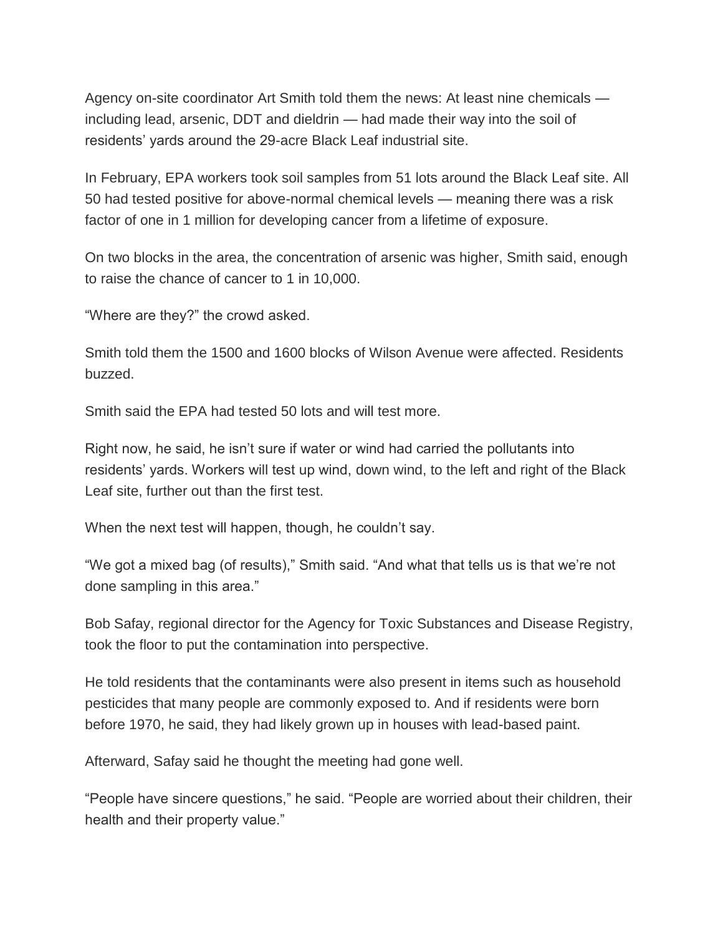Agency on-site coordinator Art Smith told them the news: At least nine chemicals including lead, arsenic, DDT and dieldrin — had made their way into the soil of residents' yards around the 29-acre Black Leaf industrial site.

In February, EPA workers took soil samples from 51 lots around the Black Leaf site. All 50 had tested positive for above-normal chemical levels — meaning there was a risk factor of one in 1 million for developing cancer from a lifetime of exposure.

On two blocks in the area, the concentration of arsenic was higher, Smith said, enough to raise the chance of cancer to 1 in 10,000.

"Where are they?" the crowd asked.

Smith told them the 1500 and 1600 blocks of Wilson Avenue were affected. Residents buzzed.

Smith said the EPA had tested 50 lots and will test more.

Right now, he said, he isn't sure if water or wind had carried the pollutants into residents' yards. Workers will test up wind, down wind, to the left and right of the Black Leaf site, further out than the first test.

When the next test will happen, though, he couldn't say.

"We got a mixed bag (of results)," Smith said. "And what that tells us is that we're not done sampling in this area."

Bob Safay, regional director for the Agency for Toxic Substances and Disease Registry, took the floor to put the contamination into perspective.

He told residents that the contaminants were also present in items such as household pesticides that many people are commonly exposed to. And if residents were born before 1970, he said, they had likely grown up in houses with lead-based paint.

Afterward, Safay said he thought the meeting had gone well.

"People have sincere questions," he said. "People are worried about their children, their health and their property value."